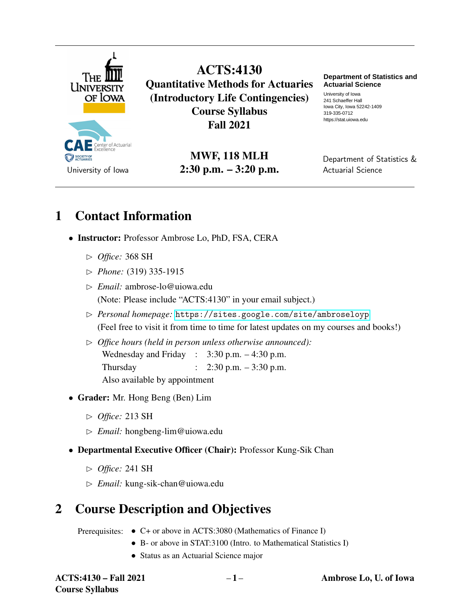

Center of Actuarial SOCIETY OF ACTUARIES University of Iowa

ACTS:4130 Quantitative Methods for Actuaries (Introductory Life Contingencies) Course Syllabus Fall 2021

> MWF, 118 MLH 2:30 p.m. – 3:20 p.m.

**Department of Statistics and Actuarial Science**

University of Iowa 241 Schaeffer Hall Iowa City, Iowa 52242-1409 319-335-0712 https://stat.uiowa.edu

Department of Statistics & Actuarial Science

# 1 Contact Information

- Instructor: Professor Ambrose Lo, PhD, FSA, CERA
	- ✄ *Office:* 368 SH
	- ✄ *Phone:* (319) 335-1915
	- ✄ *Email:* ambrose-lo@uiowa.edu (Note: Please include "ACTS:4130" in your email subject.)
	- ✄ *Personal homepage:* <https://sites.google.com/site/ambroseloyp> (Feel free to visit it from time to time for latest updates on my courses and books!)
	- ✄ *Office hours (held in person unless otherwise announced):* Wednesday and Friday :  $3:30$  p.m.  $-4:30$  p.m. Thursday : 2:30 p.m. – 3:30 p.m. Also available by appointment
- Grader: Mr. Hong Beng (Ben) Lim
	- ✄ *Office:* 213 SH
	- ✄ *Email:* hongbeng-lim@uiowa.edu
- Departmental Executive Officer (Chair): Professor Kung-Sik Chan
	- ✄ *Office:* 241 SH
	- ✄ *Email:* kung-sik-chan@uiowa.edu

# 2 Course Description and Objectives

Prerequisites: • C+ or above in ACTS:3080 (Mathematics of Finance I)

- B- or above in STAT:3100 (Intro. to Mathematical Statistics I)
- Status as an Actuarial Science major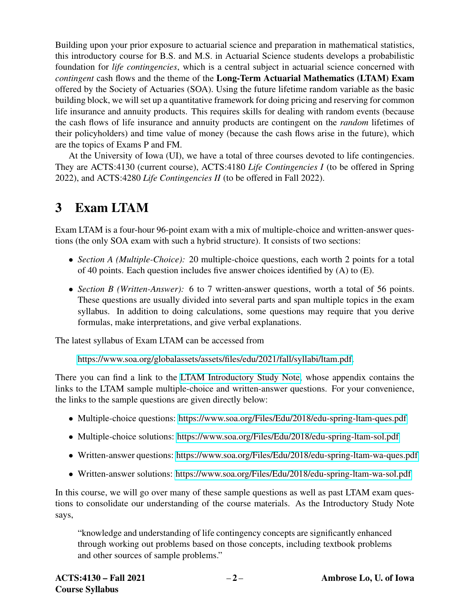Building upon your prior exposure to actuarial science and preparation in mathematical statistics, this introductory course for B.S. and M.S. in Actuarial Science students develops a probabilistic foundation for *life contingencies*, which is a central subject in actuarial science concerned with *contingent* cash flows and the theme of the Long-Term Actuarial Mathematics (LTAM) Exam offered by the Society of Actuaries (SOA). Using the future lifetime random variable as the basic building block, we will set up a quantitative framework for doing pricing and reserving for common life insurance and annuity products. This requires skills for dealing with random events (because the cash flows of life insurance and annuity products are contingent on the *random* lifetimes of their policyholders) and time value of money (because the cash flows arise in the future), which are the topics of Exams P and FM.

At the University of Iowa (UI), we have a total of three courses devoted to life contingencies. They are ACTS:4130 (current course), ACTS:4180 *Life Contingencies I* (to be offered in Spring 2022), and ACTS:4280 *Life Contingencies II* (to be offered in Fall 2022).

# 3 Exam LTAM

Exam LTAM is a four-hour 96-point exam with a mix of multiple-choice and written-answer questions (the only SOA exam with such a hybrid structure). It consists of two sections:

- *Section A (Multiple-Choice):* 20 multiple-choice questions, each worth 2 points for a total of 40 points. Each question includes five answer choices identified by  $(A)$  to  $(E)$ .
- *Section B (Written-Answer)*: 6 to 7 written-answer questions, worth a total of 56 points. These questions are usually divided into several parts and span multiple topics in the exam syllabus. In addition to doing calculations, some questions may require that you derive formulas, make interpretations, and give verbal explanations.

The latest syllabus of Exam LTAM can be accessed from

[https://www.soa.org/globalassets/assets/files/edu/2021/fall/syllabi/ltam.pdf.](https://www.soa.org/globalassets/assets/files/edu/2021/fall/syllabi/ltam.pdf)

There you can find a link to the [LTAM Introductory Study Note,](https://www.soa.org/globalassets/assets/files/edu/2021/fall/intro-study-notes/2021-fall-intro-ltam.pdf) whose appendix contains the links to the LTAM sample multiple-choice and written-answer questions. For your convenience, the links to the sample questions are given directly below:

- Multiple-choice questions:<https://www.soa.org/Files/Edu/2018/edu-spring-ltam-ques.pdf>
- Multiple-choice solutions:<https://www.soa.org/Files/Edu/2018/edu-spring-ltam-sol.pdf>
- Written-answer questions:<https://www.soa.org/Files/Edu/2018/edu-spring-ltam-wa-ques.pdf>
- Written-answer solutions:<https://www.soa.org/Files/Edu/2018/edu-spring-ltam-wa-sol.pdf>

In this course, we will go over many of these sample questions as well as past LTAM exam questions to consolidate our understanding of the course materials. As the Introductory Study Note says,

"knowledge and understanding of life contingency concepts are significantly enhanced through working out problems based on those concepts, including textbook problems and other sources of sample problems."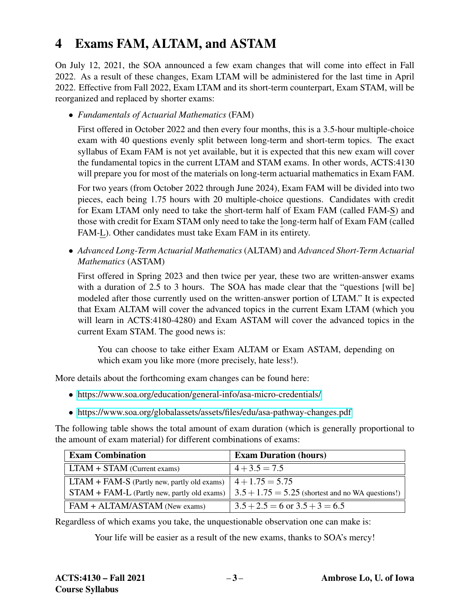# 4 Exams FAM, ALTAM, and ASTAM

On July 12, 2021, the SOA announced a few exam changes that will come into effect in Fall 2022. As a result of these changes, Exam LTAM will be administered for the last time in April 2022. Effective from Fall 2022, Exam LTAM and its short-term counterpart, Exam STAM, will be reorganized and replaced by shorter exams:

• *Fundamentals of Actuarial Mathematics* (FAM)

First offered in October 2022 and then every four months, this is a 3.5-hour multiple-choice exam with 40 questions evenly split between long-term and short-term topics. The exact syllabus of Exam FAM is not yet available, but it is expected that this new exam will cover the fundamental topics in the current LTAM and STAM exams. In other words, ACTS:4130 will prepare you for most of the materials on long-term actuarial mathematics in Exam FAM.

For two years (from October 2022 through June 2024), Exam FAM will be divided into two pieces, each being 1.75 hours with 20 multiple-choice questions. Candidates with credit for Exam LTAM only need to take the short-term half of Exam FAM (called FAM-S) and those with credit for Exam STAM only need to take the long-term half of Exam FAM (called FAM-L). Other candidates must take Exam FAM in its entirety.

• *Advanced Long-Term Actuarial Mathematics* (ALTAM) and *Advanced Short-Term Actuarial Mathematics* (ASTAM)

First offered in Spring 2023 and then twice per year, these two are written-answer exams with a duration of 2.5 to 3 hours. The SOA has made clear that the "questions [will be] modeled after those currently used on the written-answer portion of LTAM." It is expected that Exam ALTAM will cover the advanced topics in the current Exam LTAM (which you will learn in ACTS:4180-4280) and Exam ASTAM will cover the advanced topics in the current Exam STAM. The good news is:

You can choose to take either Exam ALTAM or Exam ASTAM, depending on which exam you like more (more precisely, hate less!).

More details about the forthcoming exam changes can be found here:

- <https://www.soa.org/education/general-info/asa-micro-credentials/>
- <https://www.soa.org/globalassets/assets/files/edu/asa-pathway-changes.pdf>

The following table shows the total amount of exam duration (which is generally proportional to the amount of exam material) for different combinations of exams:

| <b>Exam Combination</b>                       | <b>Exam Duration (hours)</b>                                      |
|-----------------------------------------------|-------------------------------------------------------------------|
| $LTAM + STAM$ (Current exams)                 | $4 + 3.5 = 7.5$                                                   |
| $LTAM + FAM-S$ (Partly new, partly old exams) | $4 + 1.75 = 5.75$                                                 |
| $STAM + FAM-L$ (Partly new, partly old exams) | $\vert 3.5 + 1.75 = 5.25$ (shortest and no WA questions!) $\vert$ |
| $FAM + ALTAM/ASTAM$ (New exams)               | $3.5 + 2.5 = 6$ or $3.5 + 3 = 6.5$                                |

Regardless of which exams you take, the unquestionable observation one can make is:

Your life will be easier as a result of the new exams, thanks to SOA's mercy!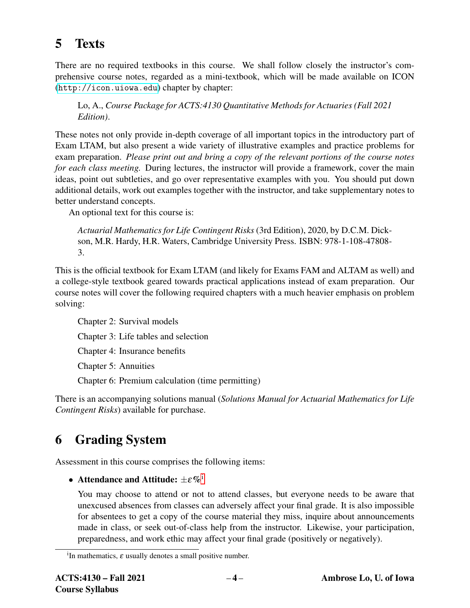# 5 Texts

There are no required textbooks in this course. We shall follow closely the instructor's comprehensive course notes, regarded as a mini-textbook, which will be made available on ICON (<http://icon.uiowa.edu>) chapter by chapter:

Lo, A., *Course Package for ACTS:4130 Quantitative Methods for Actuaries (Fall 2021 Edition)*.

These notes not only provide in-depth coverage of all important topics in the introductory part of Exam LTAM, but also present a wide variety of illustrative examples and practice problems for exam preparation. *Please print out and bring a copy of the relevant portions of the course notes for each class meeting.* During lectures, the instructor will provide a framework, cover the main ideas, point out subtleties, and go over representative examples with you. You should put down additional details, work out examples together with the instructor, and take supplementary notes to better understand concepts.

An optional text for this course is:

*Actuarial Mathematics for Life Contingent Risks* (3rd Edition), 2020, by D.C.M. Dickson, M.R. Hardy, H.R. Waters, Cambridge University Press. ISBN: 978-1-108-47808- 3.

This is the official textbook for Exam LTAM (and likely for Exams FAM and ALTAM as well) and a college-style textbook geared towards practical applications instead of exam preparation. Our course notes will cover the following required chapters with a much heavier emphasis on problem solving:

Chapter 2: Survival models Chapter 3: Life tables and selection Chapter 4: Insurance benefits Chapter 5: Annuities Chapter 6: Premium calculation (time permitting)

There is an accompanying solutions manual (*Solutions Manual for Actuarial Mathematics for Life Contingent Risks*) available for purchase.

# 6 Grading System

Assessment in this course comprises the following items:

• Attendance and Att[i](#page-3-0)tude:  $\pm \varepsilon \%$ <sup>i</sup>

You may choose to attend or not to attend classes, but everyone needs to be aware that unexcused absences from classes can adversely affect your final grade. It is also impossible for absentees to get a copy of the course material they miss, inquire about announcements made in class, or seek out-of-class help from the instructor. Likewise, your participation, preparedness, and work ethic may affect your final grade (positively or negatively).

<span id="page-3-0"></span><sup>&</sup>lt;sup>i</sup>In mathematics,  $\varepsilon$  usually denotes a small positive number.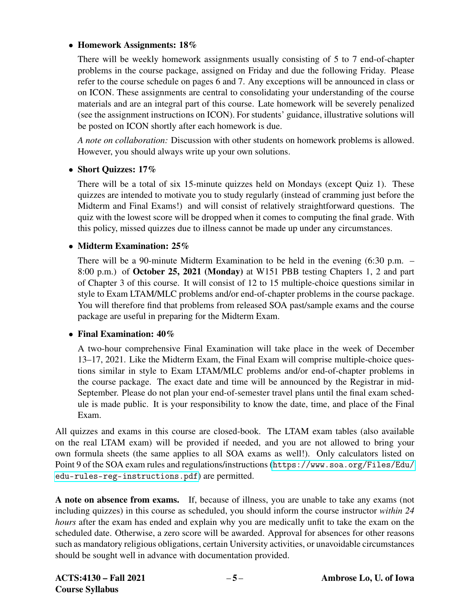# • Homework Assignments: 18%

There will be weekly homework assignments usually consisting of 5 to 7 end-of-chapter problems in the course package, assigned on Friday and due the following Friday. Please refer to the course schedule on pages 6 and 7. Any exceptions will be announced in class or on ICON. These assignments are central to consolidating your understanding of the course materials and are an integral part of this course. Late homework will be severely penalized (see the assignment instructions on ICON). For students' guidance, illustrative solutions will be posted on ICON shortly after each homework is due.

*A note on collaboration:* Discussion with other students on homework problems is allowed. However, you should always write up your own solutions.

# • Short Quizzes: 17%

There will be a total of six 15-minute quizzes held on Mondays (except Quiz 1). These quizzes are intended to motivate you to study regularly (instead of cramming just before the Midterm and Final Exams!) and will consist of relatively straightforward questions. The quiz with the lowest score will be dropped when it comes to computing the final grade. With this policy, missed quizzes due to illness cannot be made up under any circumstances.

# • Midterm Examination: 25%

There will be a 90-minute Midterm Examination to be held in the evening (6:30 p.m. – 8:00 p.m.) of October 25, 2021 (Monday) at W151 PBB testing Chapters 1, 2 and part of Chapter 3 of this course. It will consist of 12 to 15 multiple-choice questions similar in style to Exam LTAM/MLC problems and/or end-of-chapter problems in the course package. You will therefore find that problems from released SOA past/sample exams and the course package are useful in preparing for the Midterm Exam.

## • Final Examination:  $40\%$

A two-hour comprehensive Final Examination will take place in the week of December 13–17, 2021. Like the Midterm Exam, the Final Exam will comprise multiple-choice questions similar in style to Exam LTAM/MLC problems and/or end-of-chapter problems in the course package. The exact date and time will be announced by the Registrar in mid-September. Please do not plan your end-of-semester travel plans until the final exam schedule is made public. It is your responsibility to know the date, time, and place of the Final Exam.

All quizzes and exams in this course are closed-book. The LTAM exam tables (also available on the real LTAM exam) will be provided if needed, and you are not allowed to bring your own formula sheets (the same applies to all SOA exams as well!). Only calculators listed on Point 9 of the SOA exam rules and regulations/instructions ([https://www.soa.org/Files/Edu/](https://www.soa.org/Files/Edu/edu-rules-reg-instructions.pdf) [edu-rules-reg-instructions.pdf](https://www.soa.org/Files/Edu/edu-rules-reg-instructions.pdf)) are permitted.

A note on absence from exams. If, because of illness, you are unable to take any exams (not including quizzes) in this course as scheduled, you should inform the course instructor *within 24 hours* after the exam has ended and explain why you are medically unfit to take the exam on the scheduled date. Otherwise, a zero score will be awarded. Approval for absences for other reasons such as mandatory religious obligations, certain University activities, or unavoidable circumstances should be sought well in advance with documentation provided.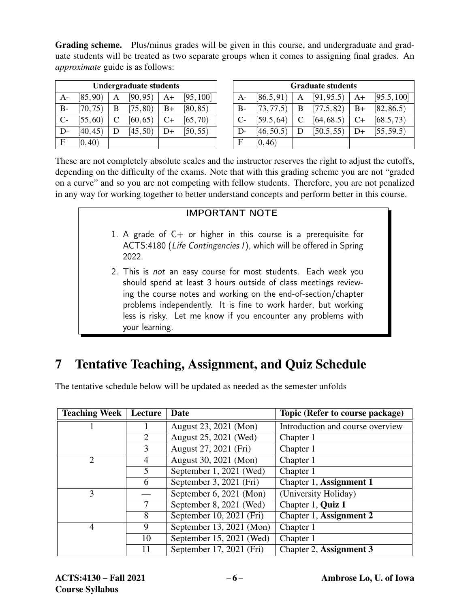Grading scheme. Plus/minus grades will be given in this course, and undergraduate and graduate students will be treated as two separate groups when it comes to assigning final grades. An *approximate* guide is as follows:

| <b>Undergraduate students</b> |          |   |          |      |           |
|-------------------------------|----------|---|----------|------|-----------|
| A-                            | [85, 90) | A | [90, 95) | $A+$ | [95, 100] |
| B-                            | [70, 75) | B | [75, 80) | $B+$ | [80, 85)  |
| $C-$                          | [55, 60) | C | [60, 65) | $C+$ | [65, 70)  |
| D-                            | [40, 45) | D | [45, 50) | D+   | [50, 55)  |
| F                             | [0, 40)  |   |          |      |           |

| <b>Graduate students</b> |            |   |            |      |             |
|--------------------------|------------|---|------------|------|-------------|
| $A-$                     | [86.5, 91) | A | [91, 95.5] | $A+$ | [95.5, 100] |
| $B-$                     | [73, 77.5] | B | [77.5, 82] | $B+$ | [82, 86.5]  |
| $C-$                     | [59.5, 64] | C | [64, 68.5) | C+   | [68.5, 73]  |
| D-                       | [46, 50.5) | D | [50.5, 55] | D+   | [55, 59.5]  |
| E                        | [0, 46)    |   |            |      |             |

These are not completely absolute scales and the instructor reserves the right to adjust the cutoffs, depending on the difficulty of the exams. Note that with this grading scheme you are not "graded on a curve" and so you are not competing with fellow students. Therefore, you are not penalized in any way for working together to better understand concepts and perform better in this course.

# IMPORTANT NOTE

- 1. A grade of  $C+$  or higher in this course is a prerequisite for ACTS:4180 (Life Contingencies I), which will be offered in Spring 2022.
- 2. This is not an easy course for most students. Each week you should spend at least 3 hours outside of class meetings reviewing the course notes and working on the end-of-section/chapter problems independently. It is fine to work harder, but working less is risky. Let me know if you encounter any problems with your learning.

# 7 Tentative Teaching, Assignment, and Quiz Schedule

Teaching Week | Lecture | Date | Topic (Refer to course package) 1 1 August 23, 2021 (Mon) Introduction and course overview August 25, 2021 (Wed) Chapter 1 August 27, 2021 (Fri) Chapter 1 2 | 4 | August 30, 2021 (Mon) | Chapter 1 September 1, 2021 (Wed) Chapter 1 September 3, 2021 (Fri) Chapter 1, Assignment 1 — September 6, 2021 (Mon) (University Holiday) September 8, 2021 (Wed) Chapter 1, Quiz 1 September 10, 2021 (Fri) Chapter 1, Assignment 2 9 September 13, 2021 (Mon) Chapter 1 September 15, 2021 (Wed) Chapter 1 September 17, 2021 (Fri) Chapter 2, Assignment 3

The tentative schedule below will be updated as needed as the semester unfolds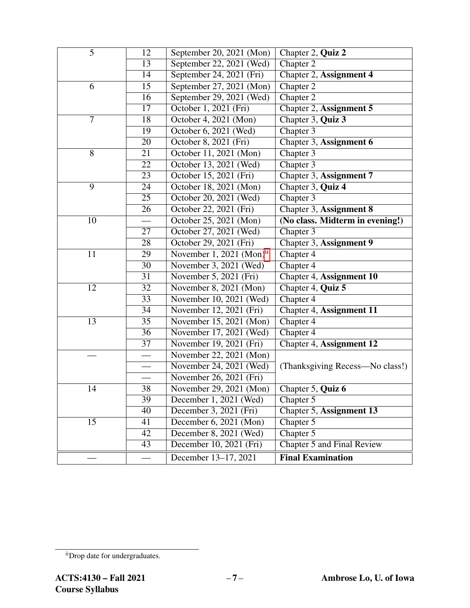| $\overline{5}$ | 12              | September 20, 2021 (Mon)             | Chapter 2, Quiz 2                 |
|----------------|-----------------|--------------------------------------|-----------------------------------|
| 13             |                 | September 22, 2021 (Wed)             | Chapter 2                         |
|                | 14              | September 24, 2021 (Fri)             | Chapter 2, Assignment 4           |
| 6              | 15              | September 27, 2021 (Mon)             | Chapter 2                         |
|                | 16              | September 29, 2021 (Wed)             | Chapter 2                         |
|                | 17              | October 1, 2021 (Fri)                | Chapter 2, Assignment 5           |
| $\tau$         | 18              | October 4, 2021 (Mon)                | Chapter 3, Quiz 3                 |
|                | 19              | October 6, 2021 (Wed)                | Chapter 3                         |
|                | 20              | October 8, 2021 (Fri)                | Chapter 3, Assignment 6           |
| $\overline{8}$ | 21              | October 11, 2021 (Mon)               | Chapter 3                         |
|                | 22              | October 13, 2021 (Wed)               | Chapter 3                         |
|                | 23              | October 15, 2021 (Fri)               | Chapter 3, Assignment 7           |
| 9              | 24              | October 18, 2021 (Mon)               | Chapter 3, Quiz 4                 |
|                | 25              | October 20, 2021 (Wed)               | Chapter 3                         |
|                | 26              | October 22, 2021 (Fri)               | Chapter 3, Assignment 8           |
| 10             |                 | October 25, 2021 (Mon)               | (No class. Midterm in evening!)   |
|                | 27              | October 27, 2021 (Wed)               | Chapter 3                         |
|                | $\overline{28}$ | October 29, 2021 (Fri)               | Chapter 3, Assignment 9           |
| 11             | 29              | November 1, 2021 (Mon) $11$          | Chapter 4                         |
|                | $\overline{30}$ | November 3, 2021 (Wed)               | Chapter 4                         |
|                | 31              | November 5, 2021 (Fri)               | Chapter 4, Assignment 10          |
| 12             | 32              | November 8, 2021 (Mon)               | Chapter 4, Quiz 5                 |
|                | 33              | November 10, 2021 (Wed)              | Chapter 4                         |
|                | 34              | November 12, 2021 (Fri)              | Chapter 4, Assignment 11          |
| 13             | 35              | November 15, 2021 (Mon)              | Chapter 4                         |
|                | 36              | November 17, 2021 (Wed)              | Chapter 4                         |
|                | $\overline{37}$ | November 19, 2021 (Fri)              | Chapter 4, Assignment 12          |
|                |                 | November 22, 2021 (Mon)              |                                   |
|                |                 | November 24, 2021 (Wed)              | (Thanksgiving Recess—No class!)   |
|                |                 | November 26, 2021 (Fri)              |                                   |
| 14             | 38              | November 29, 2021 $\overline{(Mon)}$ | Chapter 5, Quiz 6                 |
|                | 39              | December 1, 2021 (Wed)               | Chapter 5                         |
|                | 40              | December 3, 2021 (Fri)               | Chapter 5, Assignment 13          |
| 15             | 41              | December 6, 2021 (Mon)               | Chapter $\overline{5}$            |
|                | 42              | December 8, 2021 (Wed)               | Chapter 5                         |
|                | 43              | December 10, 2021 (Fri)              | <b>Chapter 5 and Final Review</b> |
|                |                 | December 13-17, 2021                 | <b>Final Examination</b>          |

<span id="page-6-0"></span>iiDrop date for undergraduates.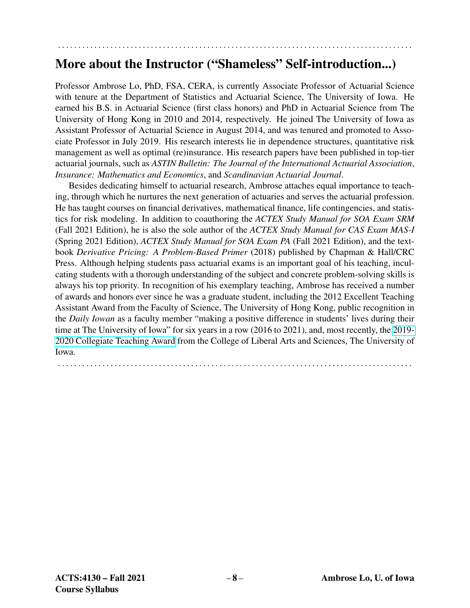# More about the Instructor ("Shameless" Self-introduction...)

. . . . . . . . . . . . . . . . . . . . . . . . . . . . . . . . . . . . . . . . . . . . . . . . . . . . . . . . . . . . . . . . . . . . . . . . . . . . . . . . . . . . . . . .

Professor Ambrose Lo, PhD, FSA, CERA, is currently Associate Professor of Actuarial Science with tenure at the Department of Statistics and Actuarial Science, The University of Iowa. He earned his B.S. in Actuarial Science (first class honors) and PhD in Actuarial Science from The University of Hong Kong in 2010 and 2014, respectively. He joined The University of Iowa as Assistant Professor of Actuarial Science in August 2014, and was tenured and promoted to Associate Professor in July 2019. His research interests lie in dependence structures, quantitative risk management as well as optimal (re)insurance. His research papers have been published in top-tier actuarial journals, such as *ASTIN Bulletin: The Journal of the International Actuarial Association*, *Insurance: Mathematics and Economics*, and *Scandinavian Actuarial Journal*.

Besides dedicating himself to actuarial research, Ambrose attaches equal importance to teaching, through which he nurtures the next generation of actuaries and serves the actuarial profession. He has taught courses on financial derivatives, mathematical finance, life contingencies, and statistics for risk modeling. In addition to coauthoring the *ACTEX Study Manual for SOA Exam SRM* (Fall 2021 Edition), he is also the sole author of the *ACTEX Study Manual for CAS Exam MAS-I* (Spring 2021 Edition), *ACTEX Study Manual for SOA Exam PA* (Fall 2021 Edition), and the textbook *Derivative Pricing: A Problem-Based Primer* (2018) published by Chapman & Hall/CRC Press. Although helping students pass actuarial exams is an important goal of his teaching, inculcating students with a thorough understanding of the subject and concrete problem-solving skills is always his top priority. In recognition of his exemplary teaching, Ambrose has received a number of awards and honors ever since he was a graduate student, including the 2012 Excellent Teaching Assistant Award from the Faculty of Science, The University of Hong Kong, public recognition in the *Daily Iowan* as a faculty member "making a positive difference in students' lives during their time at The University of Iowa" for six years in a row (2016 to 2021), and, most recently, the [2019-](https://clas.uiowa.edu/news/collegiate-teaching-award-honors-seven-college-liberal-arts-and-sciences-instructors#lo) [2020 Collegiate Teaching Award](https://clas.uiowa.edu/news/collegiate-teaching-award-honors-seven-college-liberal-arts-and-sciences-instructors#lo) from the College of Liberal Arts and Sciences, The University of Iowa.

. . . . . . . . . . . . . . . . . . . . . . . . . . . . . . . . . . . . . . . . . . . . . . . . . . . . . . . . . . . . . . . . . . . . . . . . . . . . . . . . . . . . . . . .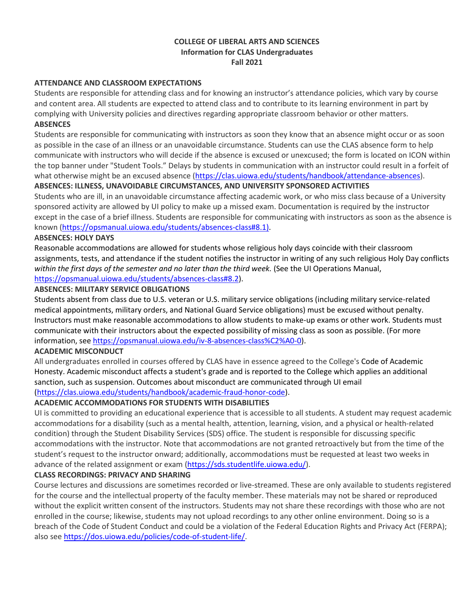## **COLLEGE OF LIBERAL ARTS AND SCIENCES Information for CLAS Undergraduates Fall 2021**

### **ATTENDANCE AND CLASSROOM EXPECTATIONS**

Students are responsible for attending class and for knowing an instructor's attendance policies, which vary by course and content area. All students are expected to attend class and to contribute to its learning environment in part by complying with University policies and directives regarding appropriate classroom behavior or other matters. **ABSENCES**

Students are responsible for communicating with instructors as soon they know that an absence might occur or as soon as possible in the case of an illness or an unavoidable circumstance. Students can use the CLAS absence form to help communicate with instructors who will decide if the absence is excused or unexcused; the form is located on ICON within the top banner under "Student Tools." Delays by students in communication with an instructor could result in a forfeit of what otherwise might be an excused absence (https://clas.uiowa.edu/students/handbook/attendance-absences).

#### **ABSENCES: ILLNESS, UNAVOIDABLE CIRCUMSTANCES, AND UNIVERSITY SPONSORED ACTIVITIES**

Students who are ill, in an unavoidable circumstance affecting academic work, or who miss class because of a University sponsored activity are allowed by UI policy to make up a missed exam. Documentation is required by the instructor except in the case of a brief illness. Students are responsible for communicating with instructors as soon as the absence is known (https://opsmanual.uiowa.edu/students/absences-class#8.1).

#### AB**SENCES: HOLY DAYS**

Reasonable accommodations are allowed for students whose religious holy days coincide with their classroom assignments, tests, and attendance if the student notifies the instructor in writing of any such religious Holy Day conflicts *within the first days of the semester and no later than the third week.* (See the UI Operations Manual, https://opsmanual.uiowa.edu/students/absences-class#8.2).

#### **ABSENCES: MILITARY SERVICE OBLIGATIONS**

Students absent from class due to U.S. veteran or U.S. military service obligations (including military service-related medical appointments, military orders, and National Guard Service obligations) must be excused without penalty. Instructors must make reasonable accommodations to allow students to make-up exams or other work. Students must communicate with their instructors about the expected possibility of missing class as soon as possible. (For more information, see https://opsmanual.uiowa.edu/iv-8-absences-class%C2%A0-0).

### **ACADEMIC MISCONDUCT**

All undergraduates enrolled in courses offered by CLAS have in essence agreed to the College's Code of Academic Honesty. Academic misconduct affects a student's grade and is reported to the College which applies an additional sanction, such as suspension. Outcomes about misconduct are communicated through UI email (https://clas.uiowa.edu/students/handbook/academic-fraud-honor-code).

# **ACADEMIC ACCOMMODATIONS FOR STUDENTS WITH DISABILITIES**

UI is committed to providing an educational experience that is accessible to all students. A student may request academic accommodations for a disability (such as a mental health, attention, learning, vision, and a physical or health-related condition) through the Student Disability Services (SDS) office. The student is responsible for discussing specific accommodations with the instructor. Note that accommodations are not granted retroactively but from the time of the student's request to the instructor onward; additionally, accommodations must be requested at least two weeks in advance of the related assignment or exam (https://sds.studentlife.uiowa.edu/).

### **CLASS RECORDINGS: PRIVACY AND SHARING**

Course lectures and discussions are sometimes recorded or live-streamed. These are only available to students registered for the course and the intellectual property of the faculty member. These materials may not be shared or reproduced without the explicit written consent of the instructors. Students may not share these recordings with those who are not enrolled in the course; likewise, students may not upload recordings to any other online environment. Doing so is a breach of the Code of Student Conduct and could be a violation of the Federal Education Rights and Privacy Act (FERPA); also see https://dos.uiowa.edu/policies/code-of-student-life/.